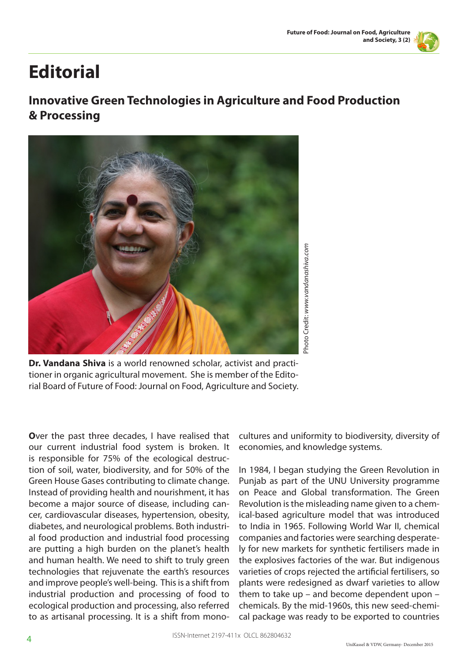## **Editorial**

## **Innovative Green Technologies in Agriculture and Food Production & Processing**



**Dr. Vandana Shiva** is a world renowned scholar, activist and practitioner in organic agricultural movement. She is member of the Editorial Board of Future of Food: Journal on Food, Agriculture and Society.

**O**ver the past three decades, I have realised that our current industrial food system is broken. It is responsible for 75% of the ecological destruction of soil, water, biodiversity, and for 50% of the Green House Gases contributing to climate change. Instead of providing health and nourishment, it has become a major source of disease, including cancer, cardiovascular diseases, hypertension, obesity, diabetes, and neurological problems. Both industrial food production and industrial food processing are putting a high burden on the planet's health and human health. We need to shift to truly green technologies that rejuvenate the earth's resources and improve people's well-being. This is a shift from industrial production and processing of food to ecological production and processing, also referred to as artisanal processing. It is a shift from monocultures and uniformity to biodiversity, diversity of economies, and knowledge systems.

In 1984, I began studying the Green Revolution in Punjab as part of the UNU University programme on Peace and Global transformation. The Green Revolution is the misleading name given to a chemical-based agriculture model that was introduced to India in 1965. Following World War II, chemical companies and factories were searching desperately for new markets for synthetic fertilisers made in the explosives factories of the war. But indigenous varieties of crops rejected the artificial fertilisers, so plants were redesigned as dwarf varieties to allow them to take up – and become dependent upon – chemicals. By the mid-1960s, this new seed-chemical package was ready to be exported to countries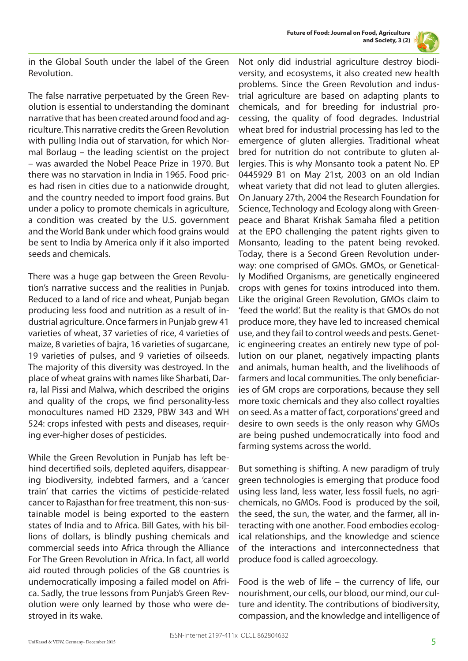



in the Global South under the label of the Green Revolution.

The false narrative perpetuated by the Green Revolution is essential to understanding the dominant narrative that has been created around food and agriculture. This narrative credits the Green Revolution with pulling India out of starvation, for which Normal Borlaug – the leading scientist on the project – was awarded the Nobel Peace Prize in 1970. But there was no starvation in India in 1965. Food prices had risen in cities due to a nationwide drought, and the country needed to import food grains. But under a policy to promote chemicals in agriculture, a condition was created by the U.S. government and the World Bank under which food grains would be sent to India by America only if it also imported seeds and chemicals.

There was a huge gap between the Green Revolution's narrative success and the realities in Punjab. Reduced to a land of rice and wheat, Punjab began producing less food and nutrition as a result of industrial agriculture. Once farmers in Punjab grew 41 varieties of wheat, 37 varieties of rice, 4 varieties of maize, 8 varieties of bajra, 16 varieties of sugarcane, 19 varieties of pulses, and 9 varieties of oilseeds. The majority of this diversity was destroyed. In the place of wheat grains with names like Sharbati, Darra, lal Pissi and Malwa, which described the origins and quality of the crops, we find personality-less monocultures named HD 2329, PBW 343 and WH 524: crops infested with pests and diseases, requiring ever-higher doses of pesticides.

While the Green Revolution in Punjab has left behind decertified soils, depleted aquifers, disappearing biodiversity, indebted farmers, and a 'cancer train' that carries the victims of pesticide-related cancer to Rajasthan for free treatment, this non-sustainable model is being exported to the eastern states of India and to Africa. Bill Gates, with his billions of dollars, is blindly pushing chemicals and commercial seeds into Africa through the Alliance For The Green Revolution in Africa. In fact, all world aid routed through policies of the G8 countries is undemocratically imposing a failed model on Africa. Sadly, the true lessons from Punjab's Green Revolution were only learned by those who were destroyed in its wake.

Not only did industrial agriculture destroy biodiversity, and ecosystems, it also created new health problems. Since the Green Revolution and industrial agriculture are based on adapting plants to chemicals, and for breeding for industrial processing, the quality of food degrades. Industrial wheat bred for industrial processing has led to the emergence of gluten allergies. Traditional wheat bred for nutrition do not contribute to gluten allergies. This is why Monsanto took a patent No. EP 0445929 B1 on May 21st, 2003 on an old Indian wheat variety that did not lead to gluten allergies. On January 27th, 2004 the Research Foundation for Science, Technology and Ecology along with Greenpeace and Bharat Krishak Samaha filed a petition at the EPO challenging the patent rights given to Monsanto, leading to the patent being revoked. Today, there is a Second Green Revolution underway: one comprised of GMOs. GMOs, or Genetically Modified Organisms, are genetically engineered crops with genes for toxins introduced into them. Like the original Green Revolution, GMOs claim to 'feed the world'. But the reality is that GMOs do not produce more, they have led to increased chemical use, and they fail to control weeds and pests. Genetic engineering creates an entirely new type of pollution on our planet, negatively impacting plants and animals, human health, and the livelihoods of farmers and local communities. The only beneficiaries of GM crops are corporations, because they sell more toxic chemicals and they also collect royalties on seed. As a matter of fact, corporations' greed and desire to own seeds is the only reason why GMOs are being pushed undemocratically into food and farming systems across the world.

But something is shifting. A new paradigm of truly green technologies is emerging that produce food using less land, less water, less fossil fuels, no agrichemicals, no GMOs. Food is produced by the soil, the seed, the sun, the water, and the farmer, all interacting with one another. Food embodies ecological relationships, and the knowledge and science of the interactions and interconnectedness that produce food is called agroecology.

Food is the web of life – the currency of life, our nourishment, our cells, our blood, our mind, our culture and identity. The contributions of biodiversity, compassion, and the knowledge and intelligence of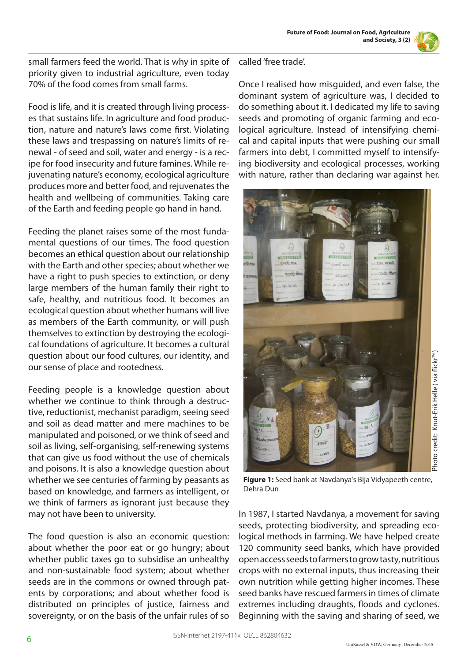small farmers feed the world. That is why in spite of priority given to industrial agriculture, even today 70% of the food comes from small farms.

Food is life, and it is created through living processes that sustains life. In agriculture and food production, nature and nature's laws come first. Violating these laws and trespassing on nature's limits of renewal - of seed and soil, water and energy - is a recipe for food insecurity and future famines. While rejuvenating nature's economy, ecological agriculture produces more and better food, and rejuvenates the health and wellbeing of communities. Taking care of the Earth and feeding people go hand in hand.

Feeding the planet raises some of the most fundamental questions of our times. The food question becomes an ethical question about our relationship with the Earth and other species; about whether we have a right to push species to extinction, or deny large members of the human family their right to safe, healthy, and nutritious food. It becomes an ecological question about whether humans will live as members of the Earth community, or will push themselves to extinction by destroying the ecological foundations of agriculture. It becomes a cultural question about our food cultures, our identity, and our sense of place and rootedness.

Feeding people is a knowledge question about whether we continue to think through a destructive, reductionist, mechanist paradigm, seeing seed and soil as dead matter and mere machines to be manipulated and poisoned, or we think of seed and soil as living, self-organising, self-renewing systems that can give us food without the use of chemicals and poisons. It is also a knowledge question about whether we see centuries of farming by peasants as based on knowledge, and farmers as intelligent, or we think of farmers as ignorant just because they may not have been to university.

The food question is also an economic question: about whether the poor eat or go hungry; about whether public taxes go to subsidise an unhealthy and non-sustainable food system; about whether seeds are in the commons or owned through patents by corporations; and about whether food is distributed on principles of justice, fairness and sovereignty, or on the basis of the unfair rules of so

## called 'free trade'.

Once I realised how misguided, and even false, the dominant system of agriculture was, I decided to do something about it. I dedicated my life to saving seeds and promoting of organic farming and ecological agriculture. Instead of intensifying chemical and capital inputs that were pushing our small farmers into debt, I committed myself to intensifying biodiversity and ecological processes, working with nature, rather than declaring war against her.



**Figure 1:** Seed bank at Navdanya's Bija Vidyapeeth centre, Dehra Dun

In 1987, I started Navdanya, a movement for saving seeds, protecting biodiversity, and spreading ecological methods in farming. We have helped create 120 community seed banks, which have provided open access seeds to farmers to grow tasty, nutritious crops with no external inputs, thus increasing their own nutrition while getting higher incomes. These seed banks have rescued farmers in times of climate extremes including draughts, floods and cyclones. Beginning with the saving and sharing of seed, we